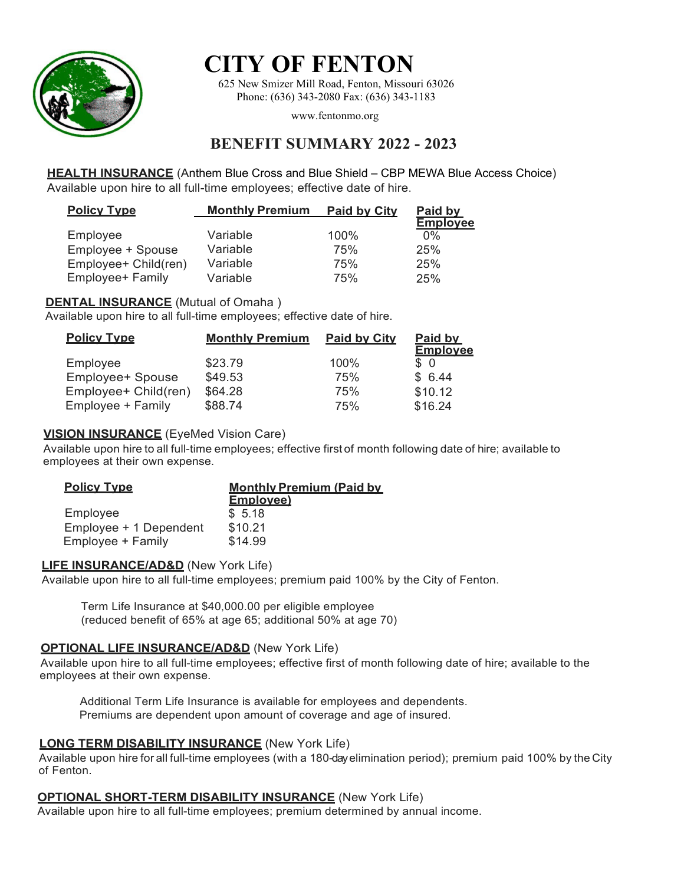

# **CITY OF FENTON**

625 New Smizer Mill Road, Fenton, Missouri 63026 Phone: (636) 343-2080 Fax: (636) 343-1183

www.fentonmo.org

# **BENEFIT SUMMARY 2022 - 2023**

**HEALTH INSURANCE** (Anthem Blue Cross and Blue Shield – CBP MEWA Blue Access Choice) Available upon hire to all full-time employees; effective date of hire.

| <b>Policy Type</b>   | <b>Monthly Premium</b> | <b>Paid by City</b> | Paid by         |
|----------------------|------------------------|---------------------|-----------------|
|                      |                        |                     | <b>Employee</b> |
| Employee             | Variable               | 100%                | $0\%$           |
| Employee + Spouse    | Variable               | 75%                 | 25%             |
| Employee+ Child(ren) | Variable               | 75%                 | 25%             |
| Employee+ Family     | Variable               | 75%                 | 25%             |

# **DENTAL INSURANCE** (Mutual of Omaha)

Available upon hire to all full-time employees; effective date of hire.

| <b>Policy Type</b>   | <b>Monthly Premium</b> | <b>Paid by City</b> | Paid by<br><b>Employee</b> |
|----------------------|------------------------|---------------------|----------------------------|
| Employee             | \$23.79                | 100%                | S O                        |
| Employee+ Spouse     | \$49.53                | 75%                 | \$6.44                     |
| Employee+ Child(ren) | \$64.28                | 75%                 | \$10.12                    |
| Employee + Family    | \$88.74                | 75%                 | \$16.24                    |

# **VISION INSURANCE** (EyeMed Vision Care)

Available upon hire to all full-time employees; effective first of month following date of hire; available to employees at their own expense.

| <b>Policy Type</b>     | <b>Monthly Premium (Paid by</b> |
|------------------------|---------------------------------|
|                        | <b>Employee)</b>                |
| Employee               | \$5.18                          |
| Employee + 1 Dependent | \$10.21                         |
| Employee + Family      | \$14.99                         |

#### **LIFE INSURANCE/AD&D** (New York Life)

Available upon hire to all full-time employees; premium paid 100% by the City of Fenton.

Term Life Insurance at \$40,000.00 per eligible employee (reduced benefit of 65% at age 65; additional 50% at age 70)

# **OPTIONAL LIFE INSURANCE/AD&D** (New York Life)

Available upon hire to all full-time employees; effective first of month following date of hire; available to the employees at their own expense.

Additional Term Life Insurance is available for employees and dependents. Premiums are dependent upon amount of coverage and age of insured.

# **LONG TERM DISABILITY INSURANCE** (New York Life)

Available upon hire for all full-time employees (with a 180-day elimination period); premium paid 100% by the City of Fenton.

# **OPTIONAL SHORT-TERM DISABILITY INSURANCE** (New York Life)

Available upon hire to all full-time employees; premium determined by annual income.